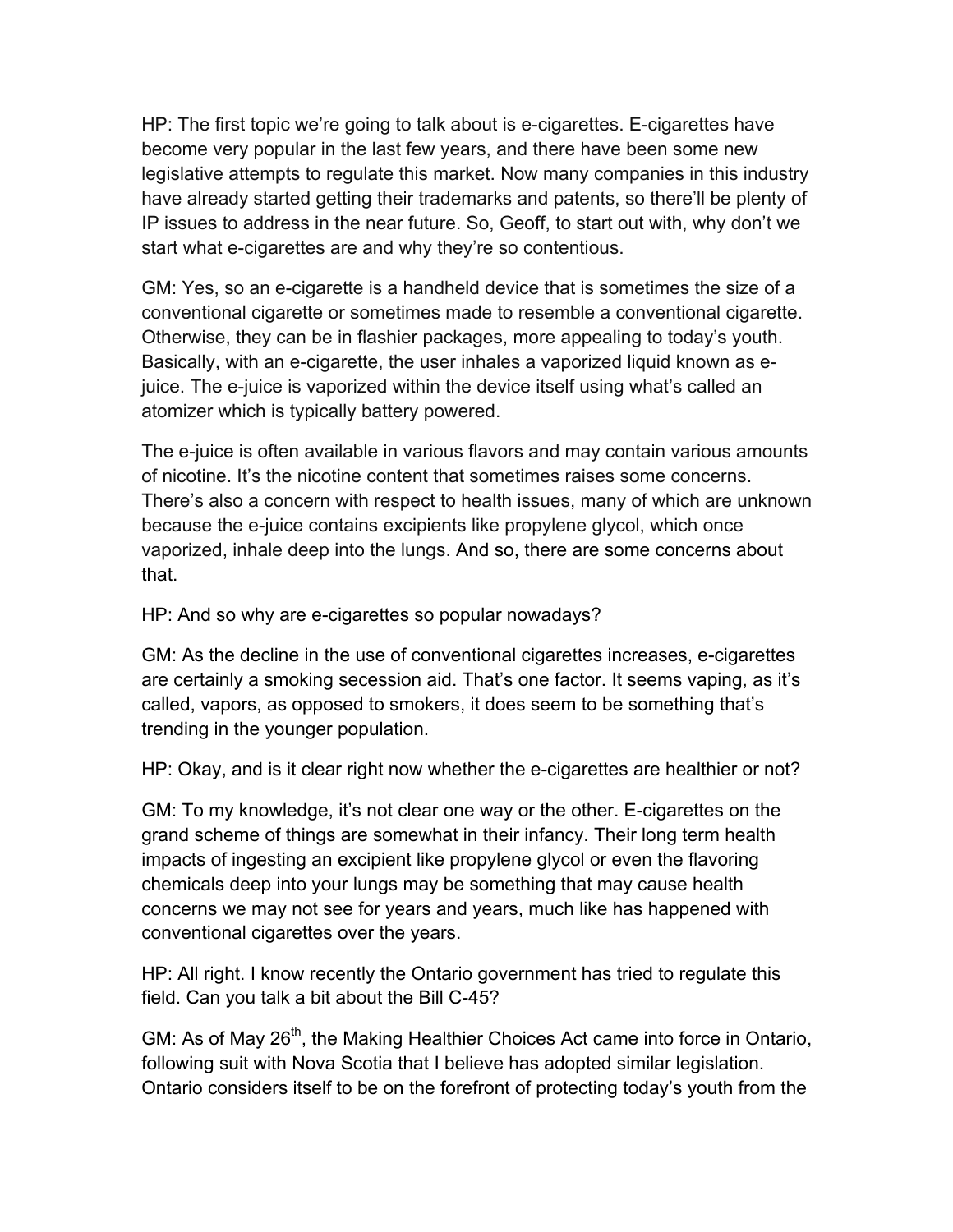HP: The first topic we're going to talk about is e-cigarettes. E-cigarettes have become very popular in the last few years, and there have been some new legislative attempts to regulate this market. Now many companies in this industry have already started getting their trademarks and patents, so there'll be plenty of IP issues to address in the near future. So, Geoff, to start out with, why don't we start what e-cigarettes are and why they're so contentious.

GM: Yes, so an e-cigarette is a handheld device that is sometimes the size of a conventional cigarette or sometimes made to resemble a conventional cigarette. Otherwise, they can be in flashier packages, more appealing to today's youth. Basically, with an e-cigarette, the user inhales a vaporized liquid known as ejuice. The e-juice is vaporized within the device itself using what's called an atomizer which is typically battery powered.

The e-juice is often available in various flavors and may contain various amounts of nicotine. It's the nicotine content that sometimes raises some concerns. There's also a concern with respect to health issues, many of which are unknown because the e-juice contains excipients like propylene glycol, which once vaporized, inhale deep into the lungs. And so, there are some concerns about that.

HP: And so why are e-cigarettes so popular nowadays?

GM: As the decline in the use of conventional cigarettes increases, e-cigarettes are certainly a smoking secession aid. That's one factor. It seems vaping, as it's called, vapors, as opposed to smokers, it does seem to be something that's trending in the younger population.

HP: Okay, and is it clear right now whether the e-cigarettes are healthier or not?

GM: To my knowledge, it's not clear one way or the other. E-cigarettes on the grand scheme of things are somewhat in their infancy. Their long term health impacts of ingesting an excipient like propylene glycol or even the flavoring chemicals deep into your lungs may be something that may cause health concerns we may not see for years and years, much like has happened with conventional cigarettes over the years.

HP: All right. I know recently the Ontario government has tried to regulate this field. Can you talk a bit about the Bill C-45?

GM: As of May 26<sup>th</sup>, the Making Healthier Choices Act came into force in Ontario, following suit with Nova Scotia that I believe has adopted similar legislation. Ontario considers itself to be on the forefront of protecting today's youth from the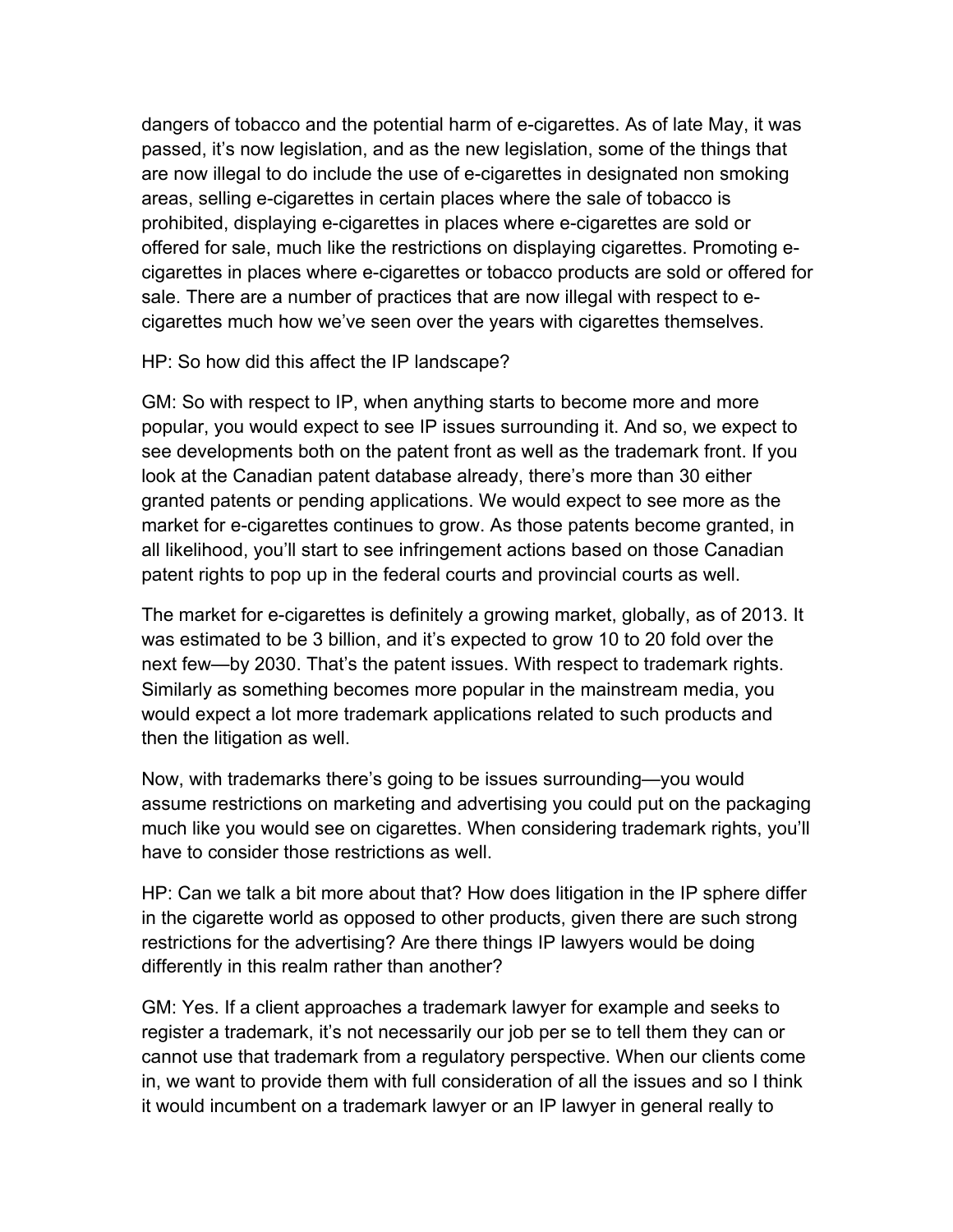dangers of tobacco and the potential harm of e-cigarettes. As of late May, it was passed, it's now legislation, and as the new legislation, some of the things that are now illegal to do include the use of e-cigarettes in designated non smoking areas, selling e-cigarettes in certain places where the sale of tobacco is prohibited, displaying e-cigarettes in places where e-cigarettes are sold or offered for sale, much like the restrictions on displaying cigarettes. Promoting ecigarettes in places where e-cigarettes or tobacco products are sold or offered for sale. There are a number of practices that are now illegal with respect to ecigarettes much how we've seen over the years with cigarettes themselves.

HP: So how did this affect the IP landscape?

GM: So with respect to IP, when anything starts to become more and more popular, you would expect to see IP issues surrounding it. And so, we expect to see developments both on the patent front as well as the trademark front. If you look at the Canadian patent database already, there's more than 30 either granted patents or pending applications. We would expect to see more as the market for e-cigarettes continues to grow. As those patents become granted, in all likelihood, you'll start to see infringement actions based on those Canadian patent rights to pop up in the federal courts and provincial courts as well.

The market for e-cigarettes is definitely a growing market, globally, as of 2013. It was estimated to be 3 billion, and it's expected to grow 10 to 20 fold over the next few—by 2030. That's the patent issues. With respect to trademark rights. Similarly as something becomes more popular in the mainstream media, you would expect a lot more trademark applications related to such products and then the litigation as well.

Now, with trademarks there's going to be issues surrounding—you would assume restrictions on marketing and advertising you could put on the packaging much like you would see on cigarettes. When considering trademark rights, you'll have to consider those restrictions as well.

HP: Can we talk a bit more about that? How does litigation in the IP sphere differ in the cigarette world as opposed to other products, given there are such strong restrictions for the advertising? Are there things IP lawyers would be doing differently in this realm rather than another?

GM: Yes. If a client approaches a trademark lawyer for example and seeks to register a trademark, it's not necessarily our job per se to tell them they can or cannot use that trademark from a regulatory perspective. When our clients come in, we want to provide them with full consideration of all the issues and so I think it would incumbent on a trademark lawyer or an IP lawyer in general really to